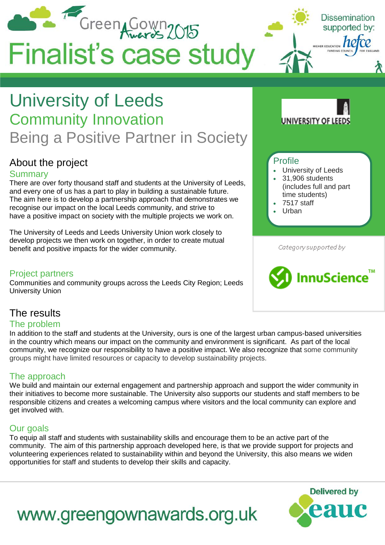

### **Summarv**

There are over forty thousand staff and students at the University of Leeds, and every one of us has a part to play in building a sustainable future. The aim here is to develop a partnership approach that demonstrates we recognise our impact on the local Leeds community, and strive to have a positive impact on society with the multiple projects we work on.

The University of Leeds and Leeds University Union work closely to develop projects we then work on together, in order to create mutual benefit and positive impacts for the wider community.

#### Project partners

Communities and community groups across the Leeds City Region; Leeds University Union

- University of Leeds
- 31,906 students (includes full and part time students)
- 7517 staff
- Urban

Category supported by



## The results

#### The problem

In addition to the staff and students at the University, ours is one of the largest urban campus-based universities in the country which means our impact on the community and environment is significant. As part of the local community, we recognize our responsibility to have a positive impact. We also recognize that some community groups might have limited resources or capacity to develop sustainability projects.

#### The approach

We build and maintain our external engagement and partnership approach and support the wider community in their initiatives to become more sustainable. The University also supports our students and staff members to be responsible citizens and creates a welcoming campus where visitors and the local community can explore and get involved with.

#### Our goals

To equip all staff and students with sustainability skills and encourage them to be an active part of the community. The aim of this partnership approach developed here, is that we provide support for projects and volunteering experiences related to sustainability within and beyond the University, this also means we widen opportunities for staff and students to develop their skills and capacity.



# www.greengownawards.org.uk